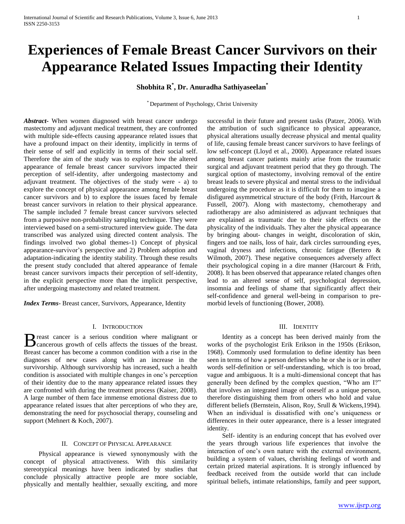# **Experiences of Female Breast Cancer Survivors on their Appearance Related Issues Impacting their Identity**

**Shobhita R\* , Dr. Anuradha Sathiyaseelan\***

\* Department of Psychology, Christ University

*Abstract***-** When women diagnosed with breast cancer undergo mastectomy and adjuvant medical treatment, they are confronted with multiple side-effects causing appearance related issues that have a profound impact on their identity, implicitly in terms of their sense of self and explicitly in terms of their social self. Therefore the aim of the study was to explore how the altered appearance of female breast cancer survivors impacted their perception of self-identity, after undergoing mastectomy and adjuvant treatment. The objectives of the study were - a) to explore the concept of physical appearance among female breast cancer survivors and b) to explore the issues faced by female breast cancer survivors in relation to their physical appearance. The sample included 7 female breast cancer survivors selected from a purposive non-probability sampling technique. They were interviewed based on a semi-structured interview guide. The data transcribed was analyzed using directed content analysis. The findings involved two global themes-1) Concept of physical appearance-survivor's perspective and 2) Problem adoption and adaptation-indicating the identity stability. Through these results the present study concluded that altered appearance of female breast cancer survivors impacts their perception of self-identity, in the explicit perspective more than the implicit perspective, after undergoing mastectomy and related treatment.

*Index Terms*- Breast cancer, Survivors, Appearance, Identity

## I. INTRODUCTION

reast cancer is a serious condition where malignant or B reast cancer is a serious condition where malignant or cancerous growth of cells affects the tissues of the breast. Breast cancer has become a common condition with a rise in the diagnoses of new cases along with an increase in the survivorship. Although survivorship has increased, such a health condition is associated with multiple changes in one's perception of their identity due to the many appearance related issues they are confronted with during the treatment process (Kaiser, 2008). A large number of them face immense emotional distress due to appearance related issues that alter perceptions of who they are, demonstrating the need for psychosocial therapy, counseling and support (Mehnert & Koch, 2007).

## II. CONCEPT OF PHYSICAL APPEARANCE

 Physical appearance is viewed synonymously with the concept of physical attractiveness. With this similarity stereotypical meanings have been indicated by studies that conclude physically attractive people are more sociable, physically and mentally healthier, sexually exciting, and more

successful in their future and present tasks (Patzer, 2006). With the attribution of such significance to physical appearance, physical alterations usually decrease physical and mental quality of life, causing female breast cancer survivors to have feelings of low self-concept (Lloyd et al., 2000). Appearance related issues among breast cancer patients mainly arise from the traumatic surgical and adjuvant treatment period that they go through. The surgical option of mastectomy, involving removal of the entire breast leads to severe physical and mental stress to the individual undergoing the procedure as it is difficult for them to imagine a disfigured asymmetrical structure of the body (Frith, Harcourt & Fussell, 2007). Along with mastectomy, chemotherapy and radiotherapy are also administered as adjuvant techniques that are explained as traumatic due to their side effects on the physicality of the individuals. They alter the physical appearance by bringing about- changes in weight, discoloration of skin, fingers and toe nails, loss of hair, dark circles surrounding eyes, vaginal dryness and infections, chronic fatigue (Bertero & Wilmoth, 2007). These negative consequences adversely affect their psychological coping in a dire manner (Harcourt & Frith, 2008). It has been observed that appearance related changes often lead to an altered sense of self, psychological depression, insomnia and feelings of shame that significantly affect their self-confidence and general well-being in comparison to premorbid levels of functioning (Bower, 2008).

## III. IDENTITY

 Identity as a concept has been derived mainly from the works of the psychologist Erik Erikson in the 1950s (Erikson, 1968). Commonly used formulation to define identity has been seen in terms of how a person defines who he or she is or in other words self-definition or self-understanding, which is too broad, vague and ambiguous. It is a multi-dimensional concept that has generally been defined by the complex question, "Who am I?" that involves an integrated image of oneself as a unique person, therefore distinguishing them from others who hold and value different beliefs (Bernstein, Alison, Roy, Srull & Wickens,1994). When an individual is dissatisfied with one's uniqueness or differences in their outer appearance, there is a lesser integrated identity.

 Self- identity is an enduring concept that has evolved over the years through various life experiences that involve the interaction of one's own nature with the external environment, building a system of values, cherishing feelings of worth and certain prized material aspirations. It is strongly influenced by feedback received from the outside world that can include spiritual beliefs, intimate relationships, family and peer support,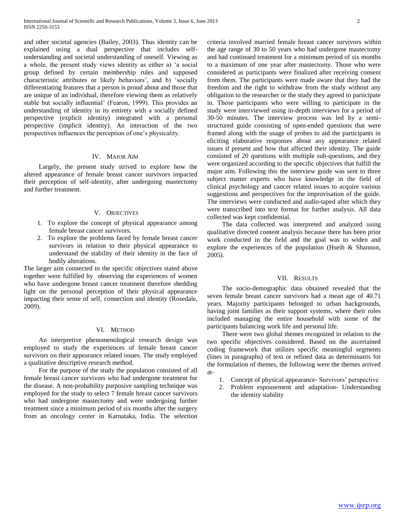and other societal agencies (Bailey, 2003). Thus identity can be explained using a dual perspective that includes selfunderstanding and societal understanding of oneself. Viewing as a whole, the present study views identity as either a) 'a social group defined by certain membership rules and supposed characteristic attributes or likely behaviors', and b) 'socially differentiating features that a person is proud about and those that are unique of an individual, therefore viewing them as relatively stable but socially influential' (Fearon, 1999). This provides an understanding of identity in its entirety with a socially defined perspective (explicit identity) integrated with a personal perspective (implicit identity). An interaction of the two perspectives influences the perception of one's physicality.

# IV. MAJOR AIM

 Largely, the present study strived to explore how the altered appearance of female breast cancer survivors impacted their perception of self-identity, after undergoing mastectomy and further treatment.

#### V. OBJECTIVES

- 1. To explore the concept of physical appearance among female breast cancer survivors.
- 2. To explore the problems faced by female breast cancer survivors in relation to their physical appearance to understand the stability of their identity in the face of bodily alterations.

The larger aim connected to the specific objectives stated above together were fulfilled by observing the experiences of women who have undergone breast cancer treatment therefore shedding light on the personal perception of their physical appearance impacting their sense of self, connection and identity (Rosedale, 2009).

#### VI. METHOD

 An interpretive phenomenological research design was employed to study the experiences of female breast cancer survivors on their appearance related issues. The study employed a qualitative descriptive research method.

 For the purpose of the study the population consisted of all female breast cancer survivors who had undergone treatment for the disease. A non-probability purposive sampling technique was employed for the study to select 7 female breast cancer survivors who had undergone mastectomy and were undergoing further treatment since a minimum period of six months after the surgery from an oncology center in Karnataka, India. The selection criteria involved married female breast cancer survivors within the age range of 30 to 50 years who had undergone mastectomy and had continued treatment for a minimum period of six months to a maximum of one year after mastectomy. Those who were considered as participants were finalized after receiving consent from them. The participants were made aware that they had the freedom and the right to withdraw from the study without any obligation to the researcher or the study they agreed to participate in. Those participants who were willing to participate in the study were interviewed using in-depth interviews for a period of 30-50 minutes. The interview process was led by a semistructured guide consisting of open-ended questions that were framed along with the usage of probes to aid the participants in eliciting elaborative responses about any appearance related issues if present and how that affected their identity. The guide consisted of 20 questions with multiple sub-questions, and they were organized according to the specific objectives that fulfill the major aim. Following this the interview guide was sent to three subject matter experts who have knowledge in the field of clinical psychology and cancer related issues to acquire various suggestions and perspectives for the improvisation of the guide. The interviews were conducted and audio-taped after which they were transcribed into text format for further analysis. All data collected was kept confidential.

 The data collected was interpreted and analyzed using qualitative directed content analysis because there has been prior work conducted in the field and the goal was to widen and explore the experiences of the population (Hseih & Shannon, 2005).

## VII. RESULTS

 The socio-demographic data obtained revealed that the seven female breast cancer survivors had a mean age of 40.71 years. Majority participants belonged to urban backgrounds, having joint families as their support systems, where their roles included managing the entire household with some of the participants balancing work life and personal life.

 There were two global themes recognized in relation to the two specific objectives considered. Based on the ascertained coding framework that utilizes specific meaningful segments (lines in paragraphs) of text or refined data as determinants for the formulation of themes, the following were the themes arrived at-

- 1. Concept of physical appearance- Survivors' perspective
- 2. Problem espousement and adaptation- Understanding the identity stability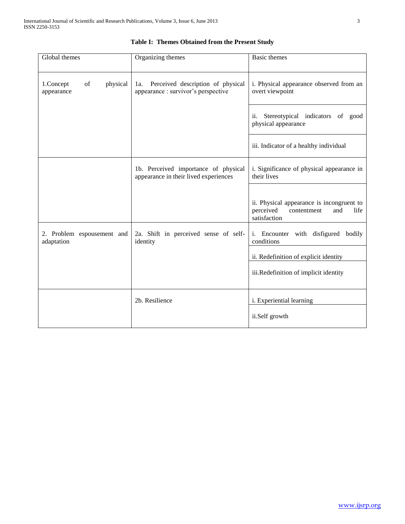| Global themes                             | Organizing themes                                                              | <b>Basic</b> themes                                                                                  |
|-------------------------------------------|--------------------------------------------------------------------------------|------------------------------------------------------------------------------------------------------|
| 1.Concept<br>of<br>physical<br>appearance | Perceived description of physical<br>1a.<br>appearance: survivor's perspective | i. Physical appearance observed from an<br>overt viewpoint                                           |
|                                           |                                                                                | Stereotypical indicators of good<br>ii.<br>physical appearance                                       |
|                                           |                                                                                | iii. Indicator of a healthy individual                                                               |
|                                           | 1b. Perceived importance of physical<br>appearance in their lived experiences  | i. Significance of physical appearance in<br>their lives                                             |
|                                           |                                                                                | ii. Physical appearance is incongruent to<br>perceived<br>contentment<br>and<br>life<br>satisfaction |
| 2. Problem espousement and<br>adaptation  | 2a. Shift in perceived sense of self-<br>identity                              | i. Encounter with disfigured bodily<br>conditions                                                    |
|                                           |                                                                                | ii. Redefinition of explicit identity                                                                |
|                                           |                                                                                | iii.Redefinition of implicit identity                                                                |
|                                           | 2b. Resilience                                                                 | i. Experiential learning                                                                             |
|                                           |                                                                                | ii.Self growth                                                                                       |

# **Table I: Themes Obtained from the Present Study**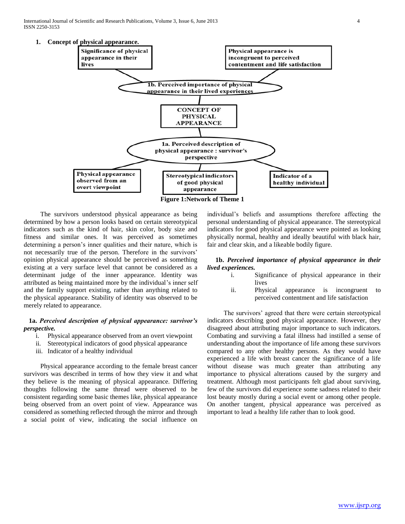International Journal of Scientific and Research Publications, Volume 3, Issue 6, June 2013 4 ISSN 2250-3153



**Figure 1:Network of Theme 1**

 The survivors understood physical appearance as being determined by how a person looks based on certain stereotypical indicators such as the kind of hair, skin color, body size and fitness and similar ones. It was perceived as sometimes determining a person's inner qualities and their nature, which is not necessarily true of the person. Therefore in the survivors' opinion physical appearance should be perceived as something existing at a very surface level that cannot be considered as a determinant judge of the inner appearance. Identity was attributed as being maintained more by the individual's inner self and the family support existing, rather than anything related to the physical appearance. Stability of identity was observed to be merely related to appearance.

# **1a.** *Perceived description of physical appearance: survivor's perspective.*

- i. Physical appearance observed from an overt viewpoint
- ii. Stereotypical indicators of good physical appearance
- iii. Indicator of a healthy individual

 Physical appearance according to the female breast cancer survivors was described in terms of how they view it and what they believe is the meaning of physical appearance. Differing thoughts following the same thread were observed to be consistent regarding some basic themes like, physical appearance being observed from an overt point of view. Appearance was considered as something reflected through the mirror and through a social point of view, indicating the social influence on

individual's beliefs and assumptions therefore affecting the personal understanding of physical appearance. The stereotypical indicators for good physical appearance were pointed as looking physically normal, healthy and ideally beautiful with black hair, fair and clear skin, and a likeable bodily figure.

## **1b.** *Perceived importance of physical appearance in their lived experiences.*

- i. Significance of physical appearance in their lives
- ii. Physical appearance is incongruent to perceived contentment and life satisfaction

 The survivors' agreed that there were certain stereotypical indicators describing good physical appearance. However, they disagreed about attributing major importance to such indicators. Combating and surviving a fatal illness had instilled a sense of understanding about the importance of life among these survivors compared to any other healthy persons. As they would have experienced a life with breast cancer the significance of a life without disease was much greater than attributing any importance to physical alterations caused by the surgery and treatment. Although most participants felt glad about surviving, few of the survivors did experience some sadness related to their lost beauty mostly during a social event or among other people. On another tangent, physical appearance was perceived as important to lead a healthy life rather than to look good.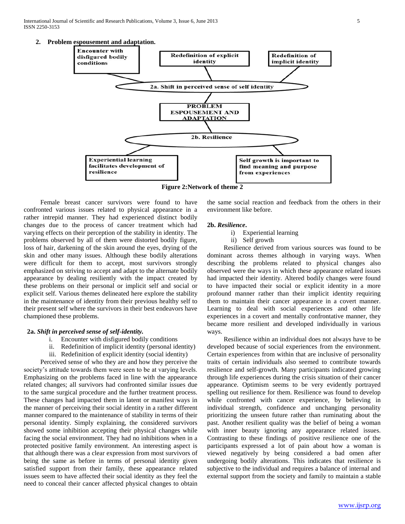International Journal of Scientific and Research Publications, Volume 3, Issue 6, June 2013 5 ISSN 2250-3153





**Figure 2:Network of theme 2**

 Female breast cancer survivors were found to have confronted various issues related to physical appearance in a rather intrepid manner. They had experienced distinct bodily changes due to the process of cancer treatment which had varying effects on their perception of the stability in identity. The problems observed by all of them were distorted bodily figure, loss of hair, darkening of the skin around the eyes, drying of the skin and other many issues. Although these bodily alterations were difficult for them to accept, most survivors strongly emphasized on striving to accept and adapt to the alternate bodily appearance by dealing resiliently with the impact created by these problems on their personal or implicit self and social or explicit self. Various themes delineated here explore the stability in the maintenance of identity from their previous healthy self to their present self where the survivors in their best endeavors have championed these problems.

### **2a.** *Shift in perceived sense of self-identity.*

- i. Encounter with disfigured bodily conditions
- ii. Redefinition of implicit identity (personal identity)
- iii. Redefinition of explicit identity (social identity)

 Perceived sense of who they are and how they perceive the society's attitude towards them were seen to be at varying levels. Emphasizing on the problems faced in line with the appearance related changes; all survivors had confronted similar issues due to the same surgical procedure and the further treatment process. These changes had impacted them in latent or manifest ways in the manner of perceiving their social identity in a rather different manner compared to the maintenance of stability in terms of their personal identity. Simply explaining, the considered survivors showed some inhibition accepting their physical changes while facing the social environment. They had no inhibitions when in a protected positive family environment. An interesting aspect is that although there was a clear expression from most survivors of being the same as before in terms of personal identity given satisfied support from their family, these appearance related issues seem to have affected their social identity as they feel the need to conceal their cancer affected physical changes to obtain the same social reaction and feedback from the others in their environment like before.

## **2b.** *Resilience***.**

- i) Experiential learning
- ii) Self growth

 Resilience derived from various sources was found to be dominant across themes although in varying ways. When describing the problems related to physical changes also observed were the ways in which these appearance related issues had impacted their identity. Altered bodily changes were found to have impacted their social or explicit identity in a more profound manner rather than their implicit identity requiring them to maintain their cancer appearance in a covert manner. Learning to deal with social experiences and other life experiences in a covert and mentally confrontative manner, they became more resilient and developed individually in various ways.

 Resilience within an individual does not always have to be developed because of social experiences from the environment. Certain experiences from within that are inclusive of personality traits of certain individuals also seemed to contribute towards resilience and self-growth. Many participants indicated growing through life experiences during the crisis situation of their cancer appearance. Optimism seems to be very evidently portrayed spelling out resilience for them. Resilience was found to develop while confronted with cancer experience, by believing in individual strength, confidence and unchanging personality prioritizing the unseen future rather than ruminating about the past. Another resilient quality was the belief of being a woman with inner beauty ignoring any appearance related issues. Contrasting to these findings of positive resilience one of the participants expressed a lot of pain about how a woman is viewed negatively by being considered a bad omen after undergoing bodily alterations. This indicates that resilience is subjective to the individual and requires a balance of internal and external support from the society and family to maintain a stable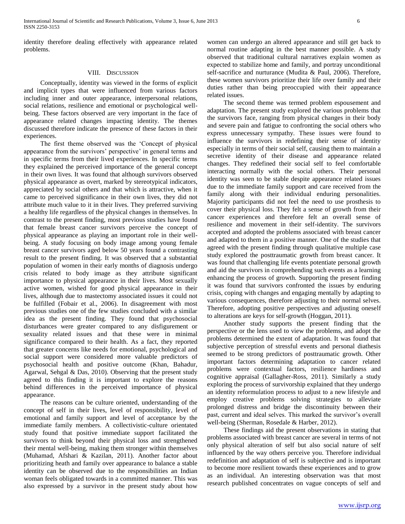identity therefore dealing effectively with appearance related problems.

## VIII. DISCUSSION

 Conceptually, identity was viewed in the forms of explicit and implicit types that were influenced from various factors including inner and outer appearance, interpersonal relations, social relations, resilience and emotional or psychological wellbeing. These factors observed are very important in the face of appearance related changes impacting identity. The themes discussed therefore indicate the presence of these factors in their experiences.

 The first theme observed was the 'Concept of physical appearance from the survivors' perspective' in general terms and in specific terms from their lived experiences. In specific terms they explained the perceived importance of the general concept in their own lives. It was found that although survivors observed physical appearance as overt, marked by stereotypical indicators, appreciated by social others and that which is attractive, when it came to perceived significance in their own lives, they did not attribute much value to it in their lives. They preferred surviving a healthy life regardless of the physical changes in themselves. In contrast to the present finding, most previous studies have found that female breast cancer survivors perceive the concept of physical appearance as playing an important role in their wellbeing. A study focusing on body image among young female breast cancer survivors aged below 50 years found a contrasting result to the present finding. It was observed that a substantial population of women in their early months of diagnosis undergo crisis related to body image as they attribute significant importance to physical appearance in their lives. Most sexually active women, wished for good physical appearance in their lives, although due to mastectomy associated issues it could not be fulfilled (Fobair et al., 2006). In disagreement with most previous studies one of the few studies concluded with a similar idea as the present finding. They found that psychosocial disturbances were greater compared to any disfigurement or sexuality related issues and that these were in minimal significance compared to their health. As a fact, they reported that greater concerns like needs for emotional, psychological and social support were considered more valuable predictors of psychosocial health and positive outcome (Khan, Bahadur, Agarwal, Sehgal & Das, 2010). Observing that the present study agreed to this finding it is important to explore the reasons behind differences in the perceived importance of physical appearance.

 The reasons can be culture oriented, understanding of the concept of self in their lives, level of responsibility, level of emotional and family support and level of acceptance by the immediate family members. A collectivistic-culture orientated study found that positive immediate support facilitated the survivors to think beyond their physical loss and strengthened their mental well-being, making them stronger within themselves (Muhamad, Afshari & Kazilan, 2011). Another factor about prioritizing heath and family over appearance to balance a stable identity can be observed due to the responsibilities an Indian woman feels obligated towards in a committed manner. This was also expressed by a survivor in the present study about how

women can undergo an altered appearance and still get back to normal routine adapting in the best manner possible. A study observed that traditional cultural narratives explain women as expected to stabilize home and family, and portray unconditional self-sacrifice and nurturance (Mudita & Paul, 2006). Therefore, these women survivors prioritize their life over family and their duties rather than being preoccupied with their appearance related issues.

 The second theme was termed problem espousement and adaptation. The present study explored the various problems that the survivors face, ranging from physical changes in their body and severe pain and fatigue to confronting the social others who express unnecessary sympathy. These issues were found to influence the survivors in redefining their sense of identity especially in terms of their social self, causing them to maintain a secretive identity of their disease and appearance related changes. They redefined their social self to feel comfortable interacting normally with the social others. Their personal identity was seen to be stable despite appearance related issues due to the immediate family support and care received from the family along with their individual enduring personalities. Majority participants did not feel the need to use prosthesis to cover their physical loss. They felt a sense of growth from their cancer experiences and therefore felt an overall sense of resilience and movement in their self-identity. The survivors accepted and adopted the problems associated with breast cancer and adapted to them in a positive manner. One of the studies that agreed with the present finding through qualitative multiple case study explored the posttraumatic growth from breast cancer. It was found that challenging life events potentiate personal growth and aid the survivors in comprehending such events as a learning enhancing the process of growth. Supporting the present finding it was found that survivors confronted the issues by enduring crisis, coping with changes and engaging mentally by adapting to various consequences, therefore adjusting to their normal selves. Therefore, adopting positive perspectives and adjusting oneself to alterations are keys for self-growth (Hoggan, 2011).

 Another study supports the present finding that the perspective or the lens used to view the problems, and adopt the problems determined the extent of adaptation. It was found that subjective perception of stressful events and personal diathesis seemed to be strong predictors of posttraumatic growth. Other important factors determining adaptation to cancer related problems were contextual factors, resilience hardiness and cognitive appraisal (Gallagher-Ross, 2011). Similarly a study exploring the process of survivorship explained that they undergo an identity reformulation process to adjust to a new lifestyle and employ creative problems solving strategies to alleviate prolonged distress and bridge the discontinuity between their past, current and ideal selves. This marked the survivor's overall well-being (Sherman, Rosedale & Harber, 2012).

 These findings aid the present observations in stating that problems associated with breast cancer are several in terms of not only physical alteration of self but also social nature of self influenced by the way others perceive you. Therefore individual redefinition and adaptation of self is subjective and is important to become more resilient towards these experiences and to grow as an individual. An interesting observation was that most research published concentrates on vague concepts of self and